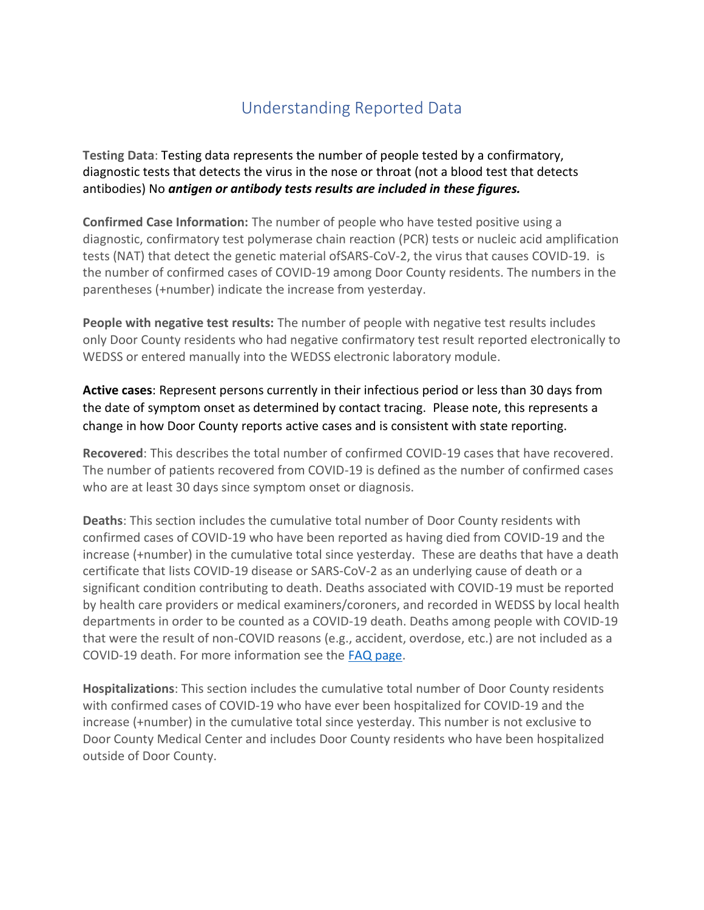## Understanding Reported Data

**Testing Data**: Testing data represents the number of people tested by a confirmatory, diagnostic tests that detects the virus in the nose or throat (not a blood test that detects antibodies) No *antigen or antibody tests results are included in these figures.*

**Confirmed Case Information:** The number of people who have tested positive using a diagnostic, confirmatory test polymerase chain reaction (PCR) tests or nucleic acid amplification tests (NAT) that detect the genetic material ofSARS-CoV-2, the virus that causes COVID-19. is the number of confirmed cases of COVID-19 among Door County residents. The numbers in the parentheses (+number) indicate the increase from yesterday.

**People with negative test results:** The number of people with negative test results includes only Door County residents who had negative confirmatory test result reported electronically to WEDSS or entered manually into the WEDSS electronic laboratory module.

**Active cases**: Represent persons currently in their infectious period or less than 30 days from the date of symptom onset as determined by contact tracing. Please note, this represents a change in how Door County reports active cases and is consistent with state reporting.

**Recovered**: This describes the total number of confirmed COVID-19 cases that have recovered. The number of patients recovered from COVID-19 is defined as the number of confirmed cases who are at least 30 days since symptom onset or diagnosis.

**Deaths**: This section includes the cumulative total number of Door County residents with confirmed cases of COVID-19 who have been reported as having died from COVID-19 and the increase (+number) in the cumulative total since yesterday. These are deaths that have a death certificate that lists COVID-19 disease or SARS-CoV-2 as an underlying cause of death or a significant condition contributing to death. Deaths associated with COVID-19 must be reported by health care providers or medical examiners/coroners, and recorded in WEDSS by local health departments in order to be counted as a COVID-19 death. Deaths among people with COVID-19 that were the result of non-COVID reasons (e.g., accident, overdose, etc.) are not included as a COVID-19 death. For more information see the [FAQ page.](https://www.dhs.wisconsin.gov/covid-19/data-101.htm)

**Hospitalizations**: This section includes the cumulative total number of Door County residents with confirmed cases of COVID-19 who have ever been hospitalized for COVID-19 and the increase (+number) in the cumulative total since yesterday. This number is not exclusive to Door County Medical Center and includes Door County residents who have been hospitalized outside of Door County.